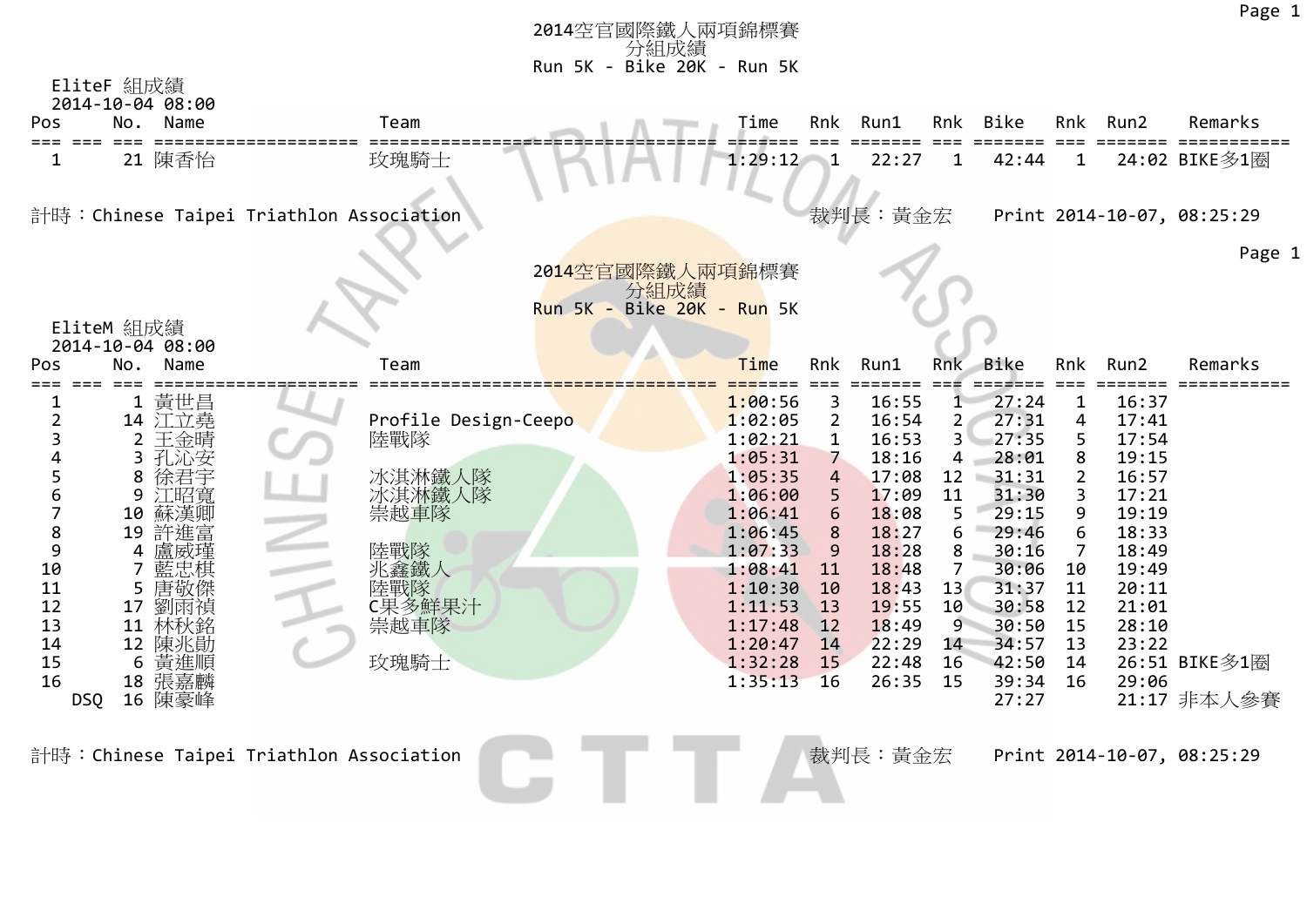|                     |                                |                                          | 2014空官國際鐵人兩項錦標賽            |                    |                |                |                |                   |                     |                | Page 1                     |  |
|---------------------|--------------------------------|------------------------------------------|----------------------------|--------------------|----------------|----------------|----------------|-------------------|---------------------|----------------|----------------------------|--|
|                     |                                |                                          | 分組成績                       |                    |                |                |                |                   |                     |                |                            |  |
|                     | EliteF 組成績                     |                                          | Run 5K - Bike 20K - Run 5K |                    |                |                |                |                   |                     |                |                            |  |
|                     | 2014-10-04 08:00               |                                          |                            |                    |                |                |                |                   |                     |                |                            |  |
| Pos<br>$==$<br>---- | No.<br>Name                    | Team                                     |                            | Time               | Rnk            | Run1           | Rnk            | Bike              | Rnk                 | Run2           | Remarks                    |  |
|                     | 21 陳香怡                         | 玫瑰騎士                                     |                            | 1:29:12            |                | 22:27          |                | 42:44             | 1                   |                | 24:02 BIKE多1圈              |  |
|                     |                                | 計時: Chinese Taipei Triathlon Association |                            |                    |                | 裁判長:黃金宏        |                |                   |                     |                | Print 2014-10-07, 08:25:29 |  |
|                     |                                |                                          |                            |                    |                |                |                |                   |                     |                | Page 1                     |  |
|                     |                                |                                          | 2014空官國際鐵人兩項錦標賽<br>分組成績    |                    |                |                |                |                   |                     |                |                            |  |
|                     |                                |                                          | Run 5K - Bike 20K - Run 5K |                    |                |                |                |                   |                     |                |                            |  |
|                     | EliteM 組成績<br>2014-10-04 08:00 |                                          |                            |                    |                |                |                |                   |                     |                |                            |  |
| Pos                 | No.<br>Name                    | Team                                     |                            | Time               | Rnk            | Run1           | Rnk            | Bike              | Rnk                 | Run2           | Remarks                    |  |
|                     | 1 黃世昌                          |                                          |                            | 1:00:56            | 3              | 16:55          | 1              | 27:24             | $\mathbf{1}$        | 16:37          |                            |  |
| $\overline{2}$      | 14 江立堯                         | Profile Design-Ceepo                     |                            | 1:02:05            | $\overline{2}$ | 16:54          | 2              | 27:31             | 4                   | 17:41          |                            |  |
| 3                   | 2 王金晴                          | 陸戰隊                                      |                            | 1:02:21            | $\mathbf{1}$   | 16:53          | 3 <sup>1</sup> | 27:35             | 5                   | 17:54          |                            |  |
| $\Delta$<br>5       | 子房心安<br>3                      |                                          |                            | 1:05:31<br>1:05:35 | $\overline{7}$ | 18:16          | 4              | 28:01             | 8                   | 19:15          |                            |  |
| 6                   | 8<br>徐君宇<br>9<br>江昭寬           | 冰淇淋鐵人隊<br>冰淇淋鐵人隊                         |                            | 1:06:00            | 4<br>5         | 17:08<br>17:09 | 12<br>11       | $-31:31$<br>31:30 | $\overline{2}$<br>3 | 16:57<br>17:21 |                            |  |
| 7                   | 10<br>蘇漢卿                      | 崇越車隊                                     |                            | 1:06:41            | 6              | 18:08          | 5              | 29:15             | 9                   | 19:19          |                            |  |
| 8                   | 19 許進富                         |                                          |                            | 1:06:45            | 8              | 18:27          | 6              | 29:46             | 6                   | 18:33          |                            |  |
| 9                   | 4                              | 陸戰隊                                      |                            | 1:07:33            | 9              | 18:28          | 8              | 30:16             | 7                   | 18:49          |                            |  |
| 10                  | 7                              | 兆鑫鐵人                                     |                            | 1:08:41            | 11             | 18:48          | 7              | 30:06             | 10                  | 19:49          |                            |  |
| 11                  | 5<br>唐敬倴                       | 陸戰隊                                      |                            | 1:10:30            | 10             | 18:43          | 13             | 31:37             | 11                  | 20:11          |                            |  |
| 12                  | 劉雨禎<br>17                      | C果多鮮果汁                                   |                            | 1:11:53            | 13             | 19:55          | 10             | 30:58             | 12                  | 21:01          |                            |  |
| 13<br>14            | 11<br>林秋銘<br>12<br>陳兆勛         | 崇越車隊                                     |                            | 1:17:48<br>1:20:47 | 12<br>14       | 18:49<br>22:29 | 9<br>14        | 30:50<br>34:57    | 15<br>13            | 28:10<br>23:22 |                            |  |
| 15                  | 6<br>黃進順                       | 玫瑰騎士                                     |                            | 1:32:28            | 15             | 22:48          | 16             | 42:50             | 14                  |                | 26:51 BIKE多1圈              |  |
| 16                  | 18 張嘉麟                         |                                          |                            | 1:35:13            | <b>16</b>      | 26:35          | 15             | 39:34             | 16                  | 29:06          |                            |  |
| DSQ                 | 16 陳豪峰                         |                                          |                            |                    |                |                |                | 27:27             |                     |                | 21:17 非本人參賽                |  |
|                     |                                | 計時:Chinese Taipei Triathlon Association  |                            |                    |                | 裁判長:黃金宏        |                |                   |                     |                | Print 2014-10-07, 08:25:29 |  |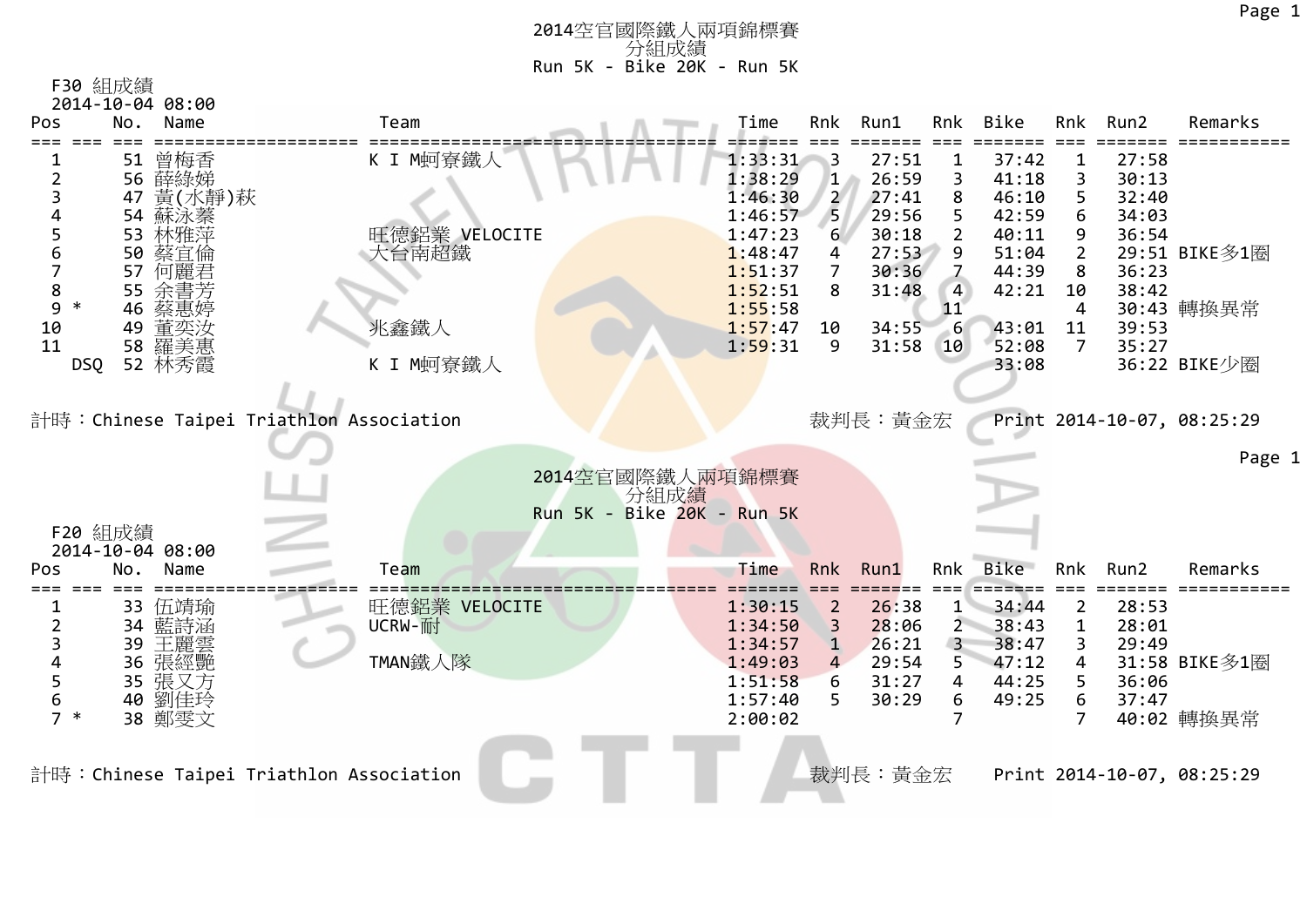| F30 組成績          |  |
|------------------|--|
| 2014-10-04 08:00 |  |

| Pos                 | Name<br>No.            | Team                                     | Time                       | Rnk                 | Run1           | Rnk                       | Bike           | Rnk                 | Run2           | Remarks                    |
|---------------------|------------------------|------------------------------------------|----------------------------|---------------------|----------------|---------------------------|----------------|---------------------|----------------|----------------------------|
|                     | 51 曾梅香                 | K I M蚵寮鐵人                                | 1:33:31                    | $\mathsf{B}$        | 27:51          |                           | 37:42          |                     | 27:58          |                            |
| 2                   | 56 薛綠娣<br>黃(水靜)萩<br>47 |                                          | 1:38:29<br>1:46:30         | 1<br>$\overline{2}$ | 26:59<br>27:41 |                           | 41:18<br>46:10 | 3<br>5.             | 30:13<br>32:40 |                            |
|                     | 54<br>蘇泳蓁              |                                          | 1:46:57                    | 5                   | 29:56          |                           | 42:59          | 6                   | 34:03          |                            |
| 5                   | 53 林雅萍                 | 旺德鋁業 VELOCITE                            | 1:47:23                    | 6                   | 30:18          | $\mathbf{2}^{\mathsf{I}}$ | 40:11          | 9                   | 36:54          |                            |
| 6<br>$\overline{7}$ | 50<br>蔡宜倫<br>57<br>何麗君 | 大台南超鐵                                    | 1:48:47<br>1:51:37         | 4<br>7              | 27:53<br>30:36 | 9                         | 51:04<br>44:39 | $\overline{2}$<br>8 | 36:23          | 29:51 BIKE多1圈              |
| 8                   | 55 余書芳                 |                                          | 1:52:51                    | 8                   | 31:48          | 4                         | 42:21          | 10                  | 38:42          |                            |
| 9<br>∗              | 46<br>蔡惠婷              |                                          | 1:55:58                    |                     |                | 11                        |                | 4                   |                | 30:43 轉換異常                 |
| 10                  | 49<br>重奕汝              | 兆鑫鐵人                                     | 1:57:47                    | 10                  | 34:55          |                           | 43:01          | 11                  | 39:53          |                            |
| 11<br><b>DSQ</b>    | 58 羅美惠<br>52 林秀霞       | K I M蚵寮鐵人                                | 1:59:31                    | 9                   | 31:58          | 10                        | 52:08<br>33:08 | $\overline{7}$      | 35:27          | 36:22 BIKE少圈               |
|                     |                        |                                          |                            |                     |                |                           |                |                     |                |                            |
|                     |                        |                                          |                            |                     |                |                           |                |                     |                |                            |
|                     |                        | 計時:Chinese Taipei Triathlon Association  |                            |                     | 裁判長:黃金宏        |                           |                |                     |                | Print 2014-10-07, 08:25:29 |
|                     |                        |                                          |                            |                     |                |                           |                |                     |                |                            |
|                     |                        |                                          |                            |                     |                |                           |                |                     |                |                            |
|                     |                        |                                          | 2014空官國際鐵人兩項錦標賽            |                     |                |                           |                |                     |                | Page 1                     |
|                     |                        |                                          | 分組成績                       |                     |                |                           |                |                     |                |                            |
|                     |                        |                                          | Run 5K - Bike 20K - Run 5K |                     |                |                           |                |                     |                |                            |
| F20 組成績             | 2014-10-04 08:00       |                                          |                            |                     |                |                           |                |                     |                |                            |
| Pos                 | Name<br>No.            | Team                                     | Time                       | Rnk                 | Run1           | Rnk                       | Bike           | Rnk                 | Run2           | Remarks                    |
|                     |                        |                                          |                            |                     |                |                           |                |                     |                |                            |
| 2                   | 33 伍靖瑜<br>34 藍詩涵       | 旺德鋁業 VELOCITE<br>UCRW-耐                  | 1:30:15<br>1:34:50         | 2<br>3              | 26:38<br>28:06 | $2^{-}$                   | 34:44<br>38:43 | 2<br>$\mathbf{1}$   | 28:53<br>28:01 |                            |
| 3                   | 王麗雲<br>39              |                                          | 1:34:57                    | $\mathbf 1$         | 26:21          | $\overline{3}$            | 38:47          | 3                   | 29:49          |                            |
|                     | 張經艷<br>36              | TMAN鐵人隊                                  | 1:49:03                    | 4                   | 29:54          | 5.                        | 47:12          | 4                   |                | 31:58 BIKE多1圈              |
| 5                   | 35 張又方                 |                                          | 1:51:58                    | 6                   | 31:27          | 4                         | 44:25          | 5                   | 36:06          |                            |
| 6<br>$7 *$          | 劉佳玲<br>40<br>38 鄭雯文    |                                          | 1:57:40<br>2:00:02         | 5                   | 30:29          | 6                         | 49:25          | 6<br>7              | 37:47          | 40:02 轉換異常                 |
|                     |                        |                                          |                            |                     |                |                           |                |                     |                |                            |
|                     |                        |                                          |                            |                     |                |                           |                |                     |                |                            |
|                     |                        | 計時: Chinese Taipei Triathlon Association |                            |                     | 裁判長:黃金宏        |                           |                |                     |                | Print 2014-10-07, 08:25:29 |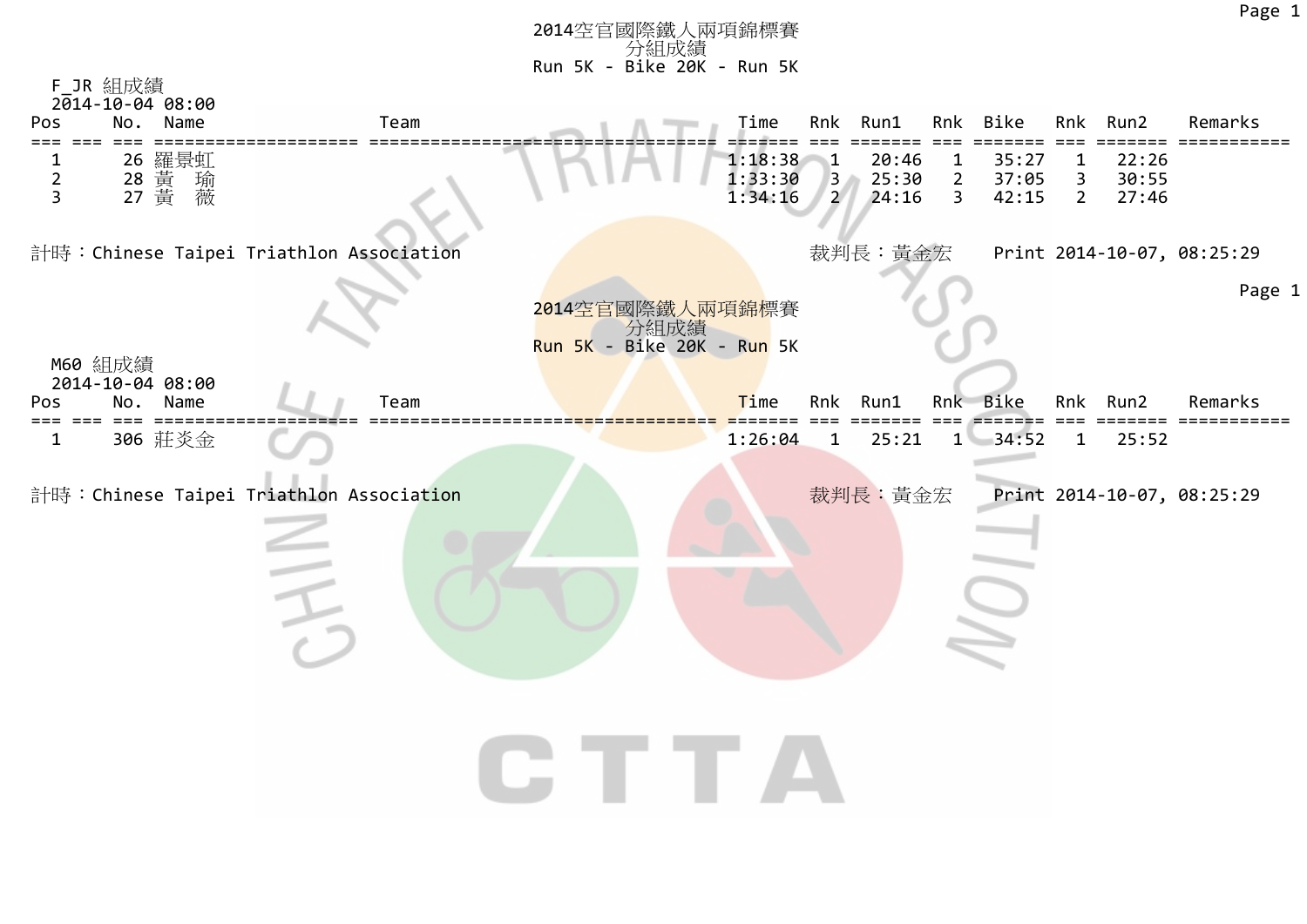|                                  | F_JR 組成績<br>$2014 - 10 - 04$ 08:00       |      |                                    |                               |                                         |                         |                                  |                         |                                             |                         |                            |
|----------------------------------|------------------------------------------|------|------------------------------------|-------------------------------|-----------------------------------------|-------------------------|----------------------------------|-------------------------|---------------------------------------------|-------------------------|----------------------------|
| Pos                              | No.<br>Name                              | Team |                                    | Time                          | Rnk                                     | Run1                    |                                  | Rnk Bike                |                                             | Rnk Run2                | Remarks                    |
| $\overline{2}$<br>$\overline{3}$ | 26 羅景虹<br>28 黃<br>27 黃                   |      |                                    | 1:18:38<br>1:33:30<br>1:34:16 | $\mathbf{1}$<br>$3 -$<br>$\overline{2}$ | 20:46<br>25:30<br>24:16 | $\mathbf{1}$<br>$2^{\circ}$<br>3 | 35:27<br>37:05<br>42:15 | $\mathbf{1}$<br>$\mathbf{3}$<br>$2^{\circ}$ | 22:26<br>30:55<br>27:46 |                            |
|                                  | 計時: Chinese Taipei Triathlon Association |      |                                    |                               |                                         | 裁判長:黃金宏                 |                                  |                         |                                             |                         | Print 2014-10-07, 08:25:29 |
|                                  |                                          |      | 2014空官國際鐵人兩項錦標賽                    |                               |                                         |                         |                                  |                         |                                             |                         | Page 1                     |
|                                  | M60 組成績                                  |      | 分組成績<br>Run 5K - Bike 20K - Run 5K |                               |                                         |                         |                                  |                         |                                             |                         |                            |
| Pos                              | 2014-10-04 08:00<br>Name<br>No.          | Team |                                    | Time                          | Rnk                                     | Run1                    | Rnk                              | Bike                    | Rnk                                         | Run2                    | Remarks                    |
| 1                                | 306 莊炎金                                  |      |                                    | 1:26:04                       | $\mathbf{1}$                            | 25:21                   | $1 -$                            | 34:52                   | $\mathbf{1}$                                | 25:52                   |                            |
|                                  | 計時: Chinese Taipei Triathlon Association |      |                                    |                               |                                         | 裁判長:黃金宏                 |                                  |                         |                                             |                         | Print 2014-10-07, 08:25:29 |
|                                  |                                          |      |                                    |                               |                                         |                         |                                  |                         |                                             |                         |                            |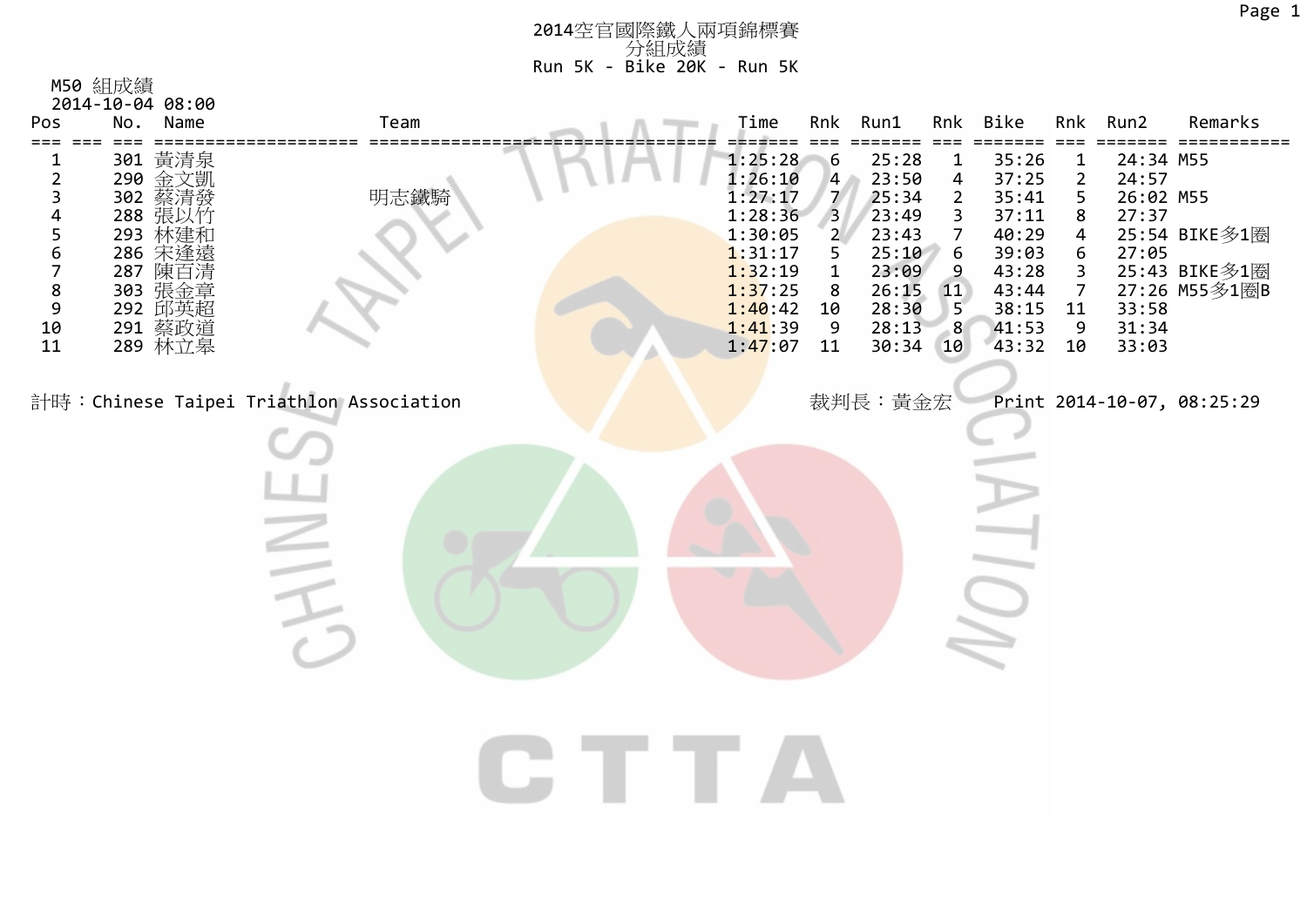| Pos                       | No. | Name                                                                                                          | Team                                     |  | Time                                                                                                                          |                                                                                                                           | Rnk Run1                                                                                           | Rnk                                                                                                                                           | Bike                                                                                            | Rnk                                                                                      | Run2                                                                         | Remarks                                         |
|---------------------------|-----|---------------------------------------------------------------------------------------------------------------|------------------------------------------|--|-------------------------------------------------------------------------------------------------------------------------------|---------------------------------------------------------------------------------------------------------------------------|----------------------------------------------------------------------------------------------------|-----------------------------------------------------------------------------------------------------------------------------------------------|-------------------------------------------------------------------------------------------------|------------------------------------------------------------------------------------------|------------------------------------------------------------------------------|-------------------------------------------------|
| ===<br>2345678910<br>1011 |     | 301 黃清泉<br>290 金文凱發竹<br>302 蔡涓以竹<br>293 林建和<br>286 宋逢遠<br>287 陳百漬<br>303 張金章<br>292 邱英超<br>291 蔡政道<br>289 林立皋 | 明志鐵騎                                     |  | 1:25:28<br>$1:26:10$<br>$1:27:17$<br>$1:28:36$<br>$1:30:05$<br>1:31:17<br>1:32:19<br>1:37:25<br>1:40:42<br>1:41:39<br>1:47:07 | $6\phantom{.}6$<br>$\begin{array}{c} 4 \\ 7 \\ 3 \end{array}$<br>$\overline{2}$<br>5<br>$\mathbf 1$<br>8<br>10<br>9<br>11 | 25:28<br>23:50<br>25:34<br>23:49<br>23:43<br>25:10<br>23:09<br>26:15<br>28:30<br>28:13<br>30:34 10 | $\mathbf{1}$<br>$\overline{\mathbf{4}}$<br>$\overline{2}$<br>3<br>7<br>$\boldsymbol{6}$<br>$\overline{9}$<br><b>11</b><br>5 <sup>2</sup><br>8 | 35:26<br>37:25<br>35:41<br>37:11<br>40:29<br>39:03<br>43:28<br>43:44<br>38:15<br>41:53<br>43:32 | 1<br>$\overline{\mathbf{c}}$<br>5<br>8<br>4<br>6<br>3<br>$\overline{7}$<br>11<br>9<br>10 | 24:34 M55<br>24:57<br>26:02 M55<br>27:37<br>27:05<br>33:58<br>31:34<br>33:03 | 25:54 BIKE多1圈<br>25:43 BIKE多1圈<br>27:26 M55多1圈B |
|                           |     |                                                                                                               | 計時: Chinese Taipei Triathlon Association |  |                                                                                                                               |                                                                                                                           | 裁判長:黃金宏                                                                                            |                                                                                                                                               |                                                                                                 |                                                                                          |                                                                              | Print 2014-10-07, 08:25:29                      |
|                           |     |                                                                                                               |                                          |  |                                                                                                                               |                                                                                                                           |                                                                                                    |                                                                                                                                               |                                                                                                 |                                                                                          |                                                                              |                                                 |
|                           |     |                                                                                                               |                                          |  |                                                                                                                               |                                                                                                                           |                                                                                                    |                                                                                                                                               |                                                                                                 |                                                                                          |                                                                              |                                                 |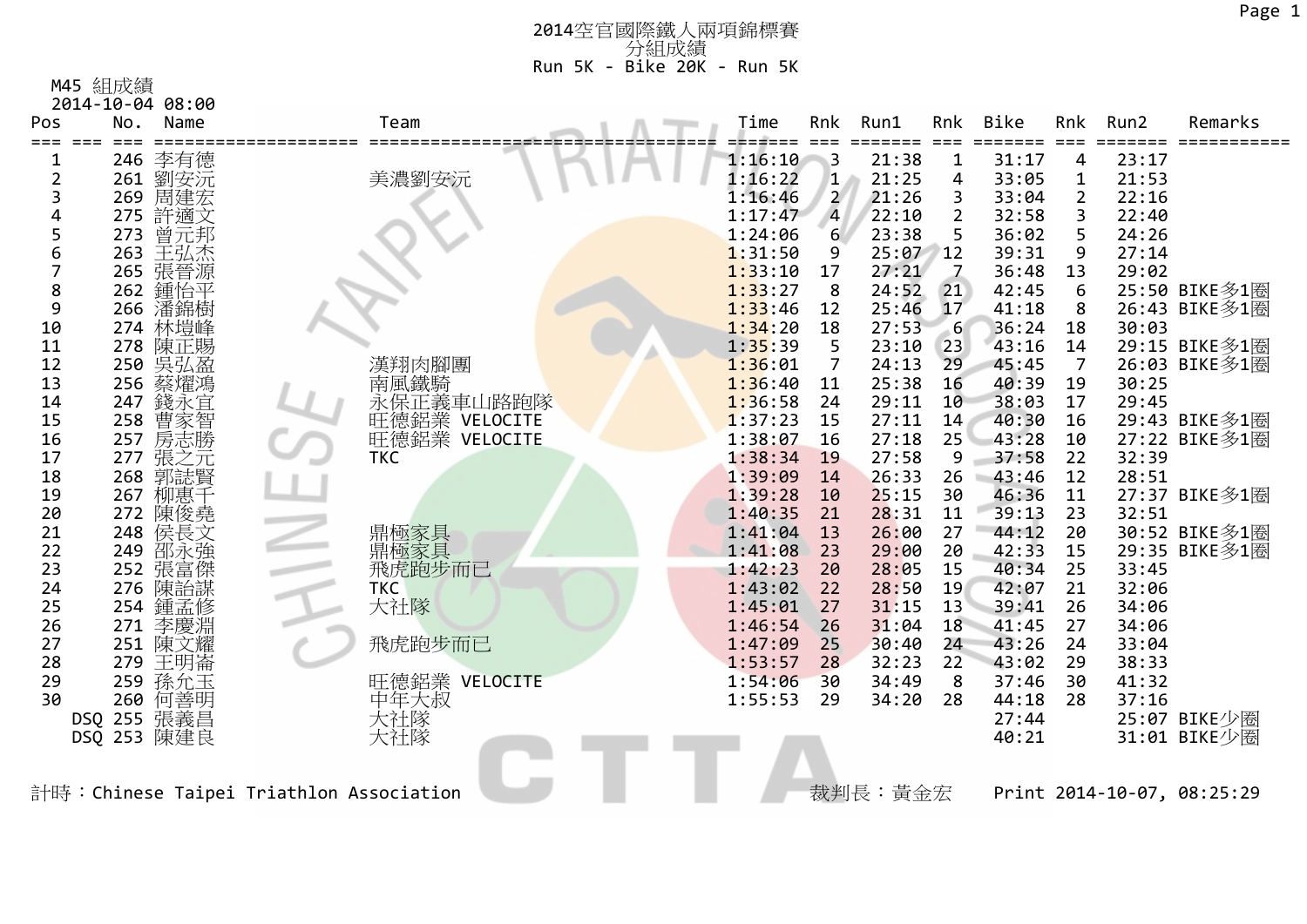M45 組成績

|                | 2014-10-04 08:00  |                                         |         |                         |          |                |       |                |       |                            |
|----------------|-------------------|-----------------------------------------|---------|-------------------------|----------|----------------|-------|----------------|-------|----------------------------|
| Pos            | No.<br>Name       | Team                                    | Time    | Rnk                     | Run1     | Rnk            | Bike  | Rnk            | Run2  | Remarks                    |
|                | 246 李有德           |                                         | 1:16:10 | $\overline{\mathbf{3}}$ | 21:38    | 1              | 31:17 | 4              | 23:17 |                            |
| $\overline{2}$ | 261 劉安沅           | 美濃劉安沅                                   | 1:16:22 | $\mathbf{1}$            | 21:25    | 4              | 33:05 | 1              | 21:53 |                            |
| 3              | 周建宏<br>269        |                                         | 1:16:46 | $\overline{2}$          | 21:26    | 3              | 33:04 | $\overline{2}$ | 22:16 |                            |
|                | 275 許適文           |                                         | 1:17:47 | $\overline{4}$          | 22:10    |                | 32:58 | 3              | 22:40 |                            |
| 5              | 273<br>曾元邦        |                                         | 1:24:06 | 6                       | 23:38    | 5              | 36:02 | 5              | 24:26 |                            |
| 6              | 263<br>王弘杰        |                                         | 1:31:50 | 9                       | 25:07 12 |                | 39:31 | 9              | 27:14 |                            |
| 7              | 265 張晉源           |                                         | 1:33:10 | 17                      | 27:21    | $\overline{z}$ | 36:48 | 13             | 29:02 |                            |
| 8              | 262<br>鍾怡平        |                                         | 1:33:27 | 8                       | 24:52    | 21             | 42:45 | 6              |       | 25:50 BIKE多1圈              |
| 9              | 266 潘錦樹           |                                         | 1:33:46 | 12                      | 25:46    | 17             | 41:18 | 8              |       | 26:43 BIKE多1圈              |
| 10             | 274 林塏峰           |                                         | 1:34:20 | 18                      | 27:53    | $-6$           | 36:24 | 18             | 30:03 |                            |
| 11             | 278 陳正賜           |                                         | 1:35:39 | 5                       | 23:10    | 23             | 43:16 | 14             |       | 29:15 BIKE多1圈              |
| 12             | 250 吴弘盈           | 漢翔肉腳團                                   | 1:36:01 | $\overline{7}$          | 24:13    | 29             | 45:45 | $\overline{7}$ |       | 26:03 BIKE多1圈              |
| 13             | 256<br>蔡燿鴻        | 南風鐵騎                                    | 1:36:40 | 11                      | 25:38    | 16             | 40:39 | 19             | 30:25 |                            |
| 14             | 247 錢永宜           | 永保正義車山路跑隊                               | 1:36:58 | 24                      | 29:11    | 10             | 38:03 | 17             | 29:45 |                            |
| 15             | 258               |                                         | 1:37:23 | 15                      | 27:11    | 14             | 40:30 | 16             |       | 29:43 BIKE多1圈              |
| 16             | 曹家智<br>257        | 正德鋁業 VELOCITE<br>旺德鋁業 VELOCITE          | 1:38:07 | 16                      | 27:18    | 25             | 43:28 | 10             |       | 27:22 BIKE多1圈              |
| 17             | 張之元<br>郭誌賢<br>277 | <b>TKC</b>                              | 1:38:34 | 19                      | 27:58    | 9              | 37:58 | 22             | 32:39 |                            |
| 18             | 268               |                                         | 1:39:09 | 14                      | 26:33    | 26             | 43:46 | 12             | 28:51 |                            |
| 19             | 267 柳惠千           |                                         | 1:39:28 | 10                      | 25:15    | 30             | 46:36 | 11             |       | 27:37 BIKE多1圈              |
| 20             | 陳俊堯<br>272        |                                         | 1:40:35 | 21                      | 28:31    | 11             | 39:13 | 23             | 32:51 |                            |
| 21             | 侯長文<br>248        | 鼎極家具                                    | 1:41:04 | 13                      | 26:00    | 27             | 44:12 | 20             |       | 30:52 BIKE多1圈              |
| 22             | 249<br>邵永強        | 淵極家具<br>飛虎跑步而已                          | 1:41:08 | 23                      | 29:00    | 20             | 42:33 | 15             |       | 29:35 BIKE多1圈              |
| 23             | 張富傑<br>252        |                                         | 1:42:23 | 20                      | 28:05    | 15             | 40:34 | 25             | 33:45 |                            |
| 24             | 陳詒謀<br>276        | <b>TKC</b>                              | 1:43:02 | 22                      | 28:50    | 19             | 42:07 | 21             | 32:06 |                            |
| 25             | 鍾孟修<br>254        | 大社隊                                     | 1:45:01 | 27                      | 31:15    | 13             | 39:41 | 26             | 34:06 |                            |
| 26             | 李慶淵<br>271        |                                         | 1:46:54 | 26                      | 31:04    | 18             | 41:45 | 27             | 34:06 |                            |
| 27             | 251<br>陳文耀        | 飛虎跑步而已                                  | 1:47:09 | 25                      | 30:40    | 24             | 43:26 | 24             | 33:04 |                            |
| 28             | 279 王明崙           |                                         | 1:53:57 | 28                      | 32:23    | 22             | 43:02 | 29             | 38:33 |                            |
| 29             | 259 孫允玉           | 旺德鋁業 VELOCITE                           | 1:54:06 | 30                      | 34:49    | 8              | 37:46 | 30             | 41:32 |                            |
| 30             | 何善明<br>260        | 中年大叔                                    | 1:55:53 | 29                      | 34:20    | 28             | 44:18 | 28             | 37:16 |                            |
|                | DSQ 255 張義昌       | 大社隊<br>大社隊                              |         |                         |          |                | 27:44 |                |       | 25:07 BIKE少圈               |
|                | DSQ 253 陳建良       |                                         |         |                         |          |                | 40:21 |                |       | 31:01 BIKE少圈               |
|                |                   |                                         |         |                         |          |                |       |                |       |                            |
|                |                   |                                         |         |                         |          |                |       |                |       |                            |
|                |                   | 計時:Chinese Taipei Triathlon Association |         |                         | 裁判長:黃金宏  |                |       |                |       | Print 2014-10-07, 08:25:29 |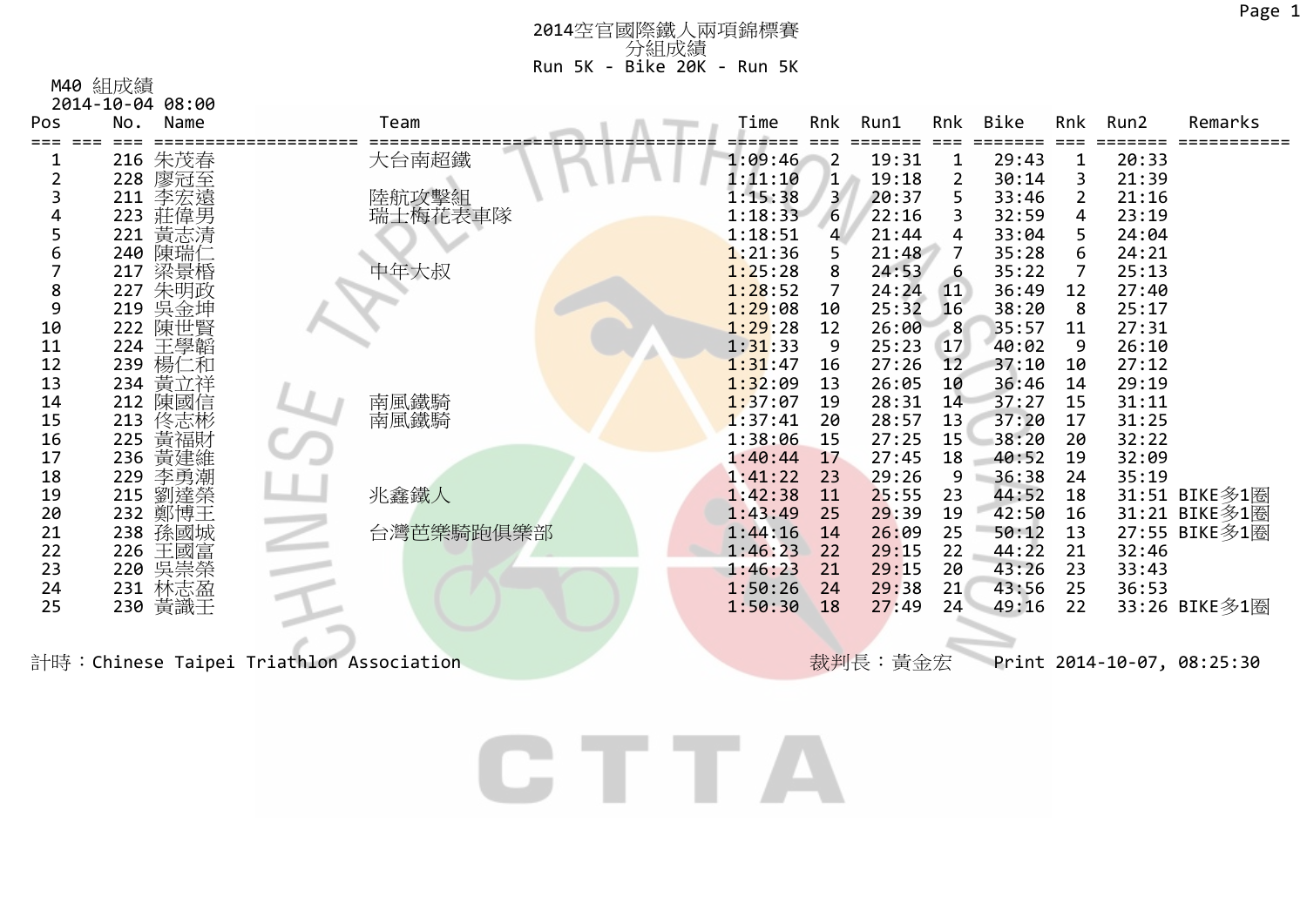## M40 組成績

| .                |  |
|------------------|--|
| 2014-10-04 08:00 |  |

| Pos      | Name<br>No.         | Team      | Time               | Rnk            | Run1           | Rnk       | Bike           | Rnk            | Run2           | Remarks       |
|----------|---------------------|-----------|--------------------|----------------|----------------|-----------|----------------|----------------|----------------|---------------|
|          | 朱茂春<br>216          | 大台南超鐵     | 1:09:46            | $\overline{2}$ | 19:31          |           | 29:43          |                | 20:33          |               |
|          | 228<br>廖冠至          |           | 1:11:10            | $\mathbf{1}$   | 19:18          |           | 30:14          | 3              | 21:39          |               |
|          | 李宏遠<br>211          | 陸航攻擊組     | 1:15:38            | 3.             | 20:37          | 5         | 33:46          | 2              | 21:16          |               |
|          | 莊偉男<br>223          | 瑞士梅花表車隊   | 1:18:33            | 6              | 22:16          |           | 32:59          | 4              | 23:19          |               |
|          | 黃志清<br>221          |           | 1:18:51            | $\overline{4}$ | 21:44          | 4         | 33:04          | 5.             | 24:04          |               |
| 6        | 陳瑞仁<br>240          |           | 1:21:36            |                | 21:48          |           | 35:28          | 6              | 24:21          |               |
|          | 梁景棔<br>217          | 中年大叔      | 1:25:28            | 8              | 24:53          | 6         | 35:22          | $\overline{7}$ | 25:13          |               |
| 8        | 朱明政<br>227          |           | 1:28:52            |                | 24:24          | <b>11</b> | 36:49          | 12             | 27:40          |               |
| 9        | 219 吳金坤             |           | 1:29:08            | 10             | 25:32          | 16        | 38:20          | 8              | 25:17          |               |
| 10       | 222 陳世賢             |           | 1:29:28            | 12             | 26:00          | -8        | 35:57          | 11             | 27:31          |               |
| 11       | 224 王學韜             |           | 1:31:33            | 9              | 25:23          | 17        | 40:02          | 9              | 26:10          |               |
| 12       | 239 楊仁和             |           | 1:31:47            | 16             | 27:26          | 12        | 37:10          | 10             | 27:12          |               |
| 13       | 234 黃立祥             |           | 1:32:09            | 13             | 26:05          | 10        | 36:46          | 14             | 29:19          |               |
| 14       | 212 陳國信             | 南風鐵騎      | 1:37:07            | 19             | 28:31          | 14        | 37:27          | 15             | 31:11          |               |
| 15       | [佟志彬]<br>黄福財<br>213 | 南風鐵騎      | 1:37:41            | 20             | 28:57          | 13        | 37:20          | 17             | 31:25          |               |
| 16       | 225                 |           | 1:38:06            | 15             | 27:25          | 15        | 38:20          | 20             | 32:22          |               |
| 17       | 236 黃建維             |           | 1:40:44            | 17             | 27:45          | 18        | 40:52          | 19             | 32:09          |               |
| 18       | 李勇潮<br>229          |           | 1:41:22            | 23             | 29:26          | 9         | 36:38          | 24             | 35:19          |               |
| 19       | 215 劉達榮             | 兆鑫鐵人      | 1:42:38            | 11             | 25:55          | 23        | 44:52          | 18             |                | 31:51 BIKE多1圈 |
| 20       | 232 鄭博王             |           | 1:43:49            | 25             | 29:39          | 19        | 42:50          | 16             |                | 31:21 BIKE多1圈 |
| 21       | 孫國城<br>238          | 台灣芭樂騎跑俱樂部 | 1:44:16            | 14             | 26:09          | 25        | 50:12          | 13             |                | 27:55 BIKE多1圈 |
| 22<br>23 | 王國富<br>226<br>  吳崇榮 |           | 1:46:23            | 22             | 29:15          | 22        | 44:22<br>43:26 | 21<br>23       | 32:46          |               |
| 24       | 220<br>231 林志盈      |           | 1:46:23<br>1:50:26 | 21<br>24       | 29:15<br>29:38 | 20<br>21  | 43:56          | 25             | 33:43<br>36:53 |               |
| 25       | 230 黃識壬             |           | 1:50:30            | 18             | 27:49          | 24        | 49:16          | 22             |                | 33:26 BIKE多1圈 |
|          |                     |           |                    |                |                |           |                |                |                |               |
|          |                     |           |                    |                |                |           |                |                |                |               |
|          |                     |           |                    |                |                |           |                |                |                |               |

計時:Chinese Taipei Triathlon Association **Nation Association Triather Triath Association** Triather Association Association Association Association Association Association Association Association Association Association Ass

CTTA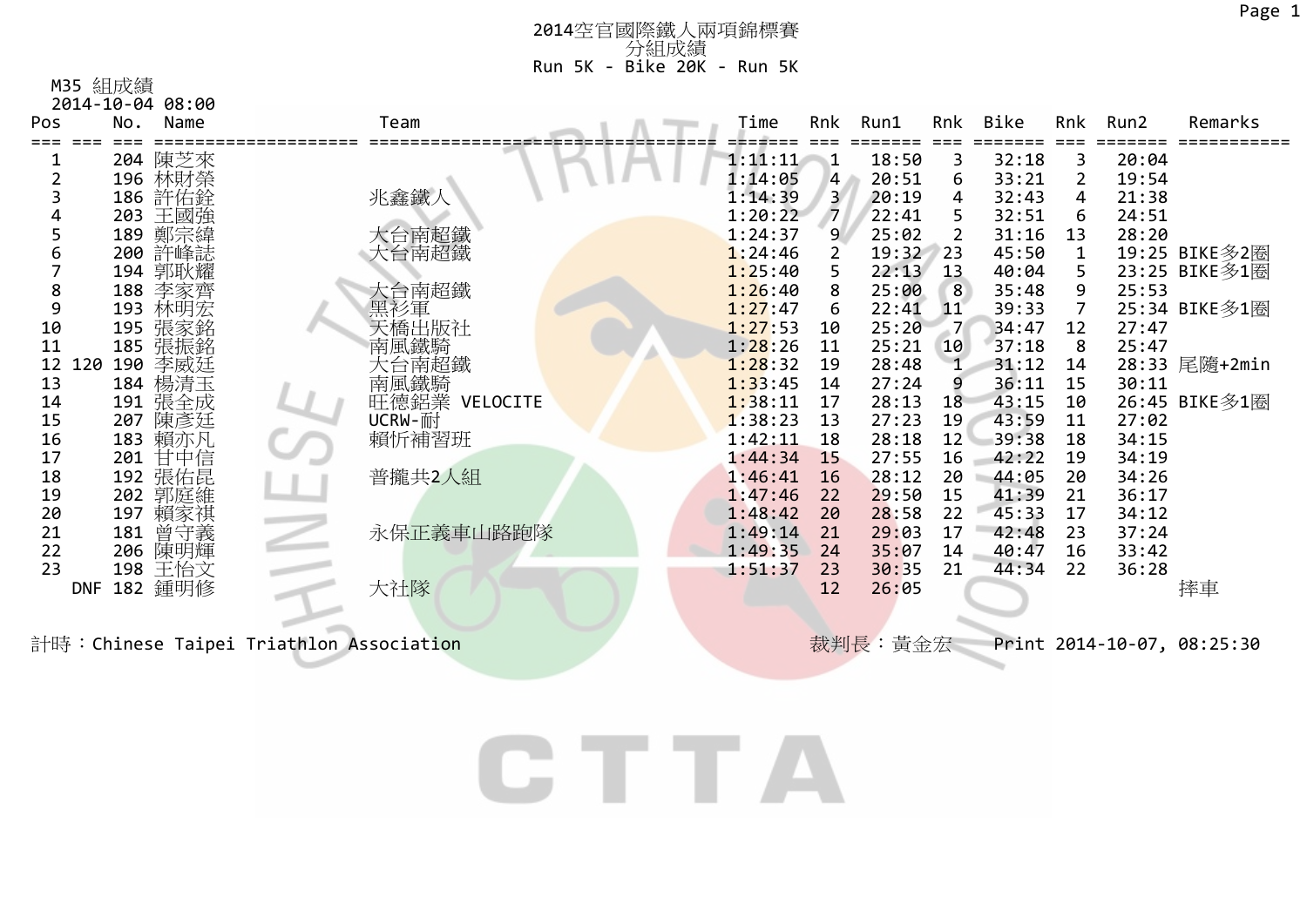<sup>2014</sup>空官國際鐵人兩項錦標賽 分組成績 Run 5K ‐ Bike 20K ‐ Run 5K

| M35 | 組成績 |
|-----|-----|
|-----|-----|

|            |     | 2014-10-04 08:00 |                                          |                       |  |         |                |          |     |       |                |       |                            |
|------------|-----|------------------|------------------------------------------|-----------------------|--|---------|----------------|----------|-----|-------|----------------|-------|----------------------------|
| Pos        | No. | Name             |                                          | Team                  |  | Time    | Rnk            | Run1     | Rnk | Bike  | Rnk            | Run2  | Remarks                    |
|            |     |                  |                                          |                       |  |         |                |          |     |       |                |       |                            |
|            |     | 204 陳芝來          |                                          |                       |  | 1:11:11 | $\mathbf{1}$   | 18:50    | 3   | 32:18 | 3              | 20:04 |                            |
|            |     | 196 林財榮          |                                          |                       |  | 1:14:05 | $\overline{4}$ | 20:51    | 6   | 33:21 | $\overline{2}$ | 19:54 |                            |
|            |     | 186 許佑銓          |                                          | 兆鑫鐵人                  |  | 1:14:39 | $\overline{3}$ | 20:19    | 4   | 32:43 | 4              | 21:38 |                            |
|            |     | 203 王國強          |                                          |                       |  | 1:20:22 | $\sqrt{7}$     | 22:41    |     | 32:51 | 6              | 24:51 |                            |
|            |     | 189 鄭宗緯          |                                          | 大台南超鐵                 |  | 1:24:37 | 9              | 25:02    | 2   | 31:16 | 13             | 28:20 |                            |
|            |     | 200 許峰誌          |                                          | 大台南超鐵                 |  | 1:24:46 | $\overline{2}$ | 19:32 23 |     | 45:50 | $\mathbf{1}$   |       | 19:25 BIKE多2圈              |
|            |     | 194 郭耿耀          |                                          |                       |  | 1:25:40 | 5.             | 22:13    | 13  | 40:04 | 5              |       | 23:25 BIKE多1圈              |
|            |     | 188 李家齊          |                                          | 大台南超鐵                 |  | 1:26:40 | 8              | 25:00    | 8   | 35:48 | 9              | 25:53 |                            |
| 9          |     | 193 林明宏          |                                          | 黑衫軍                   |  | 1:27:47 | 6              | 22:41    | 11  | 39:33 | $\overline{7}$ |       | 25:34 BIKE多1圈              |
| 10         |     | 195 張家銘          |                                          | 天橋出版社                 |  | 1:27:53 | 10             | 25:20    |     | 34:47 | 12             | 27:47 |                            |
| 11         |     | 185 張振銘          |                                          | 南風鐵騎                  |  | 1:28:26 | 11             | 25:21    | 10  | 37:18 | 8              | 25:47 |                            |
| 12         |     | 120 190 李威廷      |                                          | 大台南超鐵                 |  | 1:28:32 | 19             | 28:48    |     | 31:12 | 14             |       | 28:33 尾隨+2min              |
| 13         |     | 184 楊清玉          |                                          | 南風鐵騎<br>旺德鋁業 VELOCITE |  | 1:33:45 | 14             | 27:24    | 9   | 36:11 | 15             | 30:11 |                            |
| 14         |     | 191 張全成          |                                          |                       |  | 1:38:11 | 17             | 28:13    | 18  | 43:15 | 10             |       | 26:45 BIKE多1圈              |
| 15         |     | 207 陳彥廷          |                                          | UCRW-耐                |  | 1:38:23 | 13             | 27:23    | 19  | 43:59 | 11             | 27:02 |                            |
| 16         |     | 183 賴亦凡          |                                          | 賴忻補習班                 |  | 1:42:11 | 18             | 28:18    | 12  | 39:38 | 18             | 34:15 |                            |
| 17         |     | 201 甘中信          |                                          |                       |  | 1:44:34 | <b>15</b>      | 27:55    | 16  | 42:22 | 19             | 34:19 |                            |
| 18         |     | 192 張佑昆          |                                          | 普攏共2人組                |  | 1:46:41 | 16             | 28:12    | 20  | 44:05 | 20             | 34:26 |                            |
| 19         |     | 202 郭庭維          |                                          |                       |  | 1:47:46 | 22             | 29:50    | 15  | 41:39 | 21             | 36:17 |                            |
| 20         |     | 197 賴家祺          |                                          |                       |  | 1:48:42 | 20             | 28:58    | 22  | 45:33 | 17             | 34:12 |                            |
| 21         | 181 | 曾守義              |                                          | 永保正義車山路跑隊             |  | 1:49:14 | 21             | 29:03    | 17  | 42:48 | 23             | 37:24 |                            |
| 22         |     | 206 陳明輝          |                                          |                       |  | 1:49:35 | 24             | 35:07    | 14  | 40:47 | 16             | 33:42 |                            |
| 23         |     | 198 王怡文          |                                          |                       |  | 1:51:37 | 23             | 30:35    | 21  | 44:34 | 22             | 36:28 |                            |
| <b>DNF</b> |     | 182 鍾明修          |                                          | 大社隊                   |  |         | 12             | 26:05    |     |       |                |       | 摔車                         |
|            |     |                  |                                          |                       |  |         |                |          |     |       |                |       |                            |
|            |     |                  | 計時: Chinese Taipei Triathlon Association |                       |  |         |                | 裁判長:黃金宏  |     |       |                |       | Print 2014-10-07, 08:25:30 |
|            |     |                  |                                          |                       |  |         |                |          |     |       |                |       |                            |

CTTA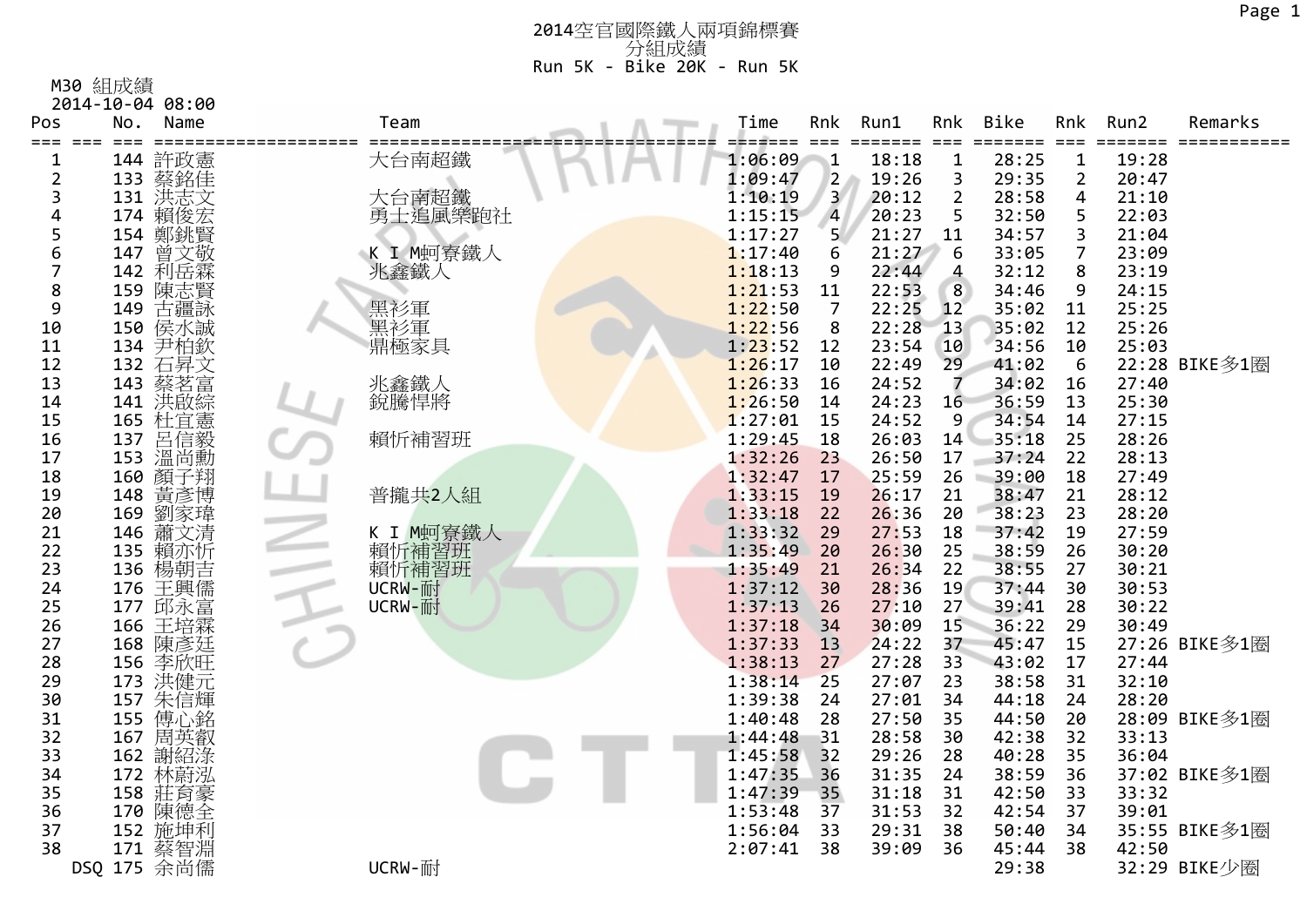M30 組成績

| 2014-10-04 08:00 |  |  |
|------------------|--|--|
|                  |  |  |

| Pos<br>===<br>$===$ | No.<br>Name<br>$==$             | Team               | Time    | Rnk            | Run1<br>==== | Rnk<br>$===$   | <b>Bike</b><br>==== | Rnk<br>$===$   | Run2<br>===== | Remarks       |
|---------------------|---------------------------------|--------------------|---------|----------------|--------------|----------------|---------------------|----------------|---------------|---------------|
| 1                   | 許政憲<br>144                      | 大台南超鐵              | 1:06:09 | $\mathbf{1}$   | 18:18        | $\mathbf 1$    | 28:25               | $\mathbf{1}$   | 19:28         |               |
| $\overline{2}$      | 133 蔡銘佳                         |                    | 1:09:47 | $\overline{2}$ | 19:26        | 3              | 29:35               | $\overline{2}$ | 20:47         |               |
| 3                   | 131 洪志文                         | 大台南超鐵              | 1:10:19 | $\mathbf{3}$   | 20:12        | $\overline{2}$ | 28:58               | 4              | 21:10         |               |
| 4                   | 174<br>賴俊宏                      | 勇士追風樂跑社            | 1:15:15 | $\overline{4}$ | 20:23        | 5              | 32:50               | 5              | 22:03         |               |
| 5                   | 鄭銚賢<br>154                      |                    | 1:17:27 | 5 <sup>1</sup> | 21:27        | 11             | 34:57               | 3              | 21:04         |               |
| 6                   | 曾文敬<br>147                      | K I M蚵寮鐵人          | 1:17:40 | 6              | 21:27        | 6              | 33:05               | $\overline{7}$ | 23:09         |               |
| $\overline{7}$      | 利岳霖<br>142                      | 兆鑫鐵人               | 1:18:13 | 9              | 22:44        | 4              | 32:12               | 8              | 23:19         |               |
| 8                   | 159<br>陳志賢                      |                    | 1:21:53 | 11             | 22:53        | 8              | 34:46               | 9              | 24:15         |               |
| 9                   | 149<br>古疆詠                      | 黑衫軍<br>黑衫軍<br>鼎極家具 | 1:22:50 | $\overline{7}$ | 22:25        | 12             | 35:02               | 11             | 25:25         |               |
| 10                  | 150 侯水誠                         |                    | 1:22:56 | 8              | 22:28        | 13             | 35:02               | 12             | 25:26         |               |
| 11                  | 尹柏欽<br>134                      |                    | 1:23:52 | 12             | 23:54        | 10             | 34:56               | 10             | 25:03         |               |
| 12                  | 石昇文<br>132                      |                    | 1:26:17 | 10             | 22:49        | 29             | 41:02               | 6              |               | 22:28 BIKE多1圈 |
| 13                  | 蔡茗富<br>143                      | 兆鑫鐵人               | 1:26:33 | 16             | 24:52        | 7              | 34:02               | 16             | 27:40         |               |
| 14                  | 141<br>洪啟綜                      | 銳騰悍將               | 1:26:50 | 14             | 24:23        | 16             | 36:59               | 13             | 25:30         |               |
| 15                  | 杜宜憲<br>165                      |                    | 1:27:01 | 15             | 24:52        | 9              | 34:54               | 14             | 27:15         |               |
| 16                  | 呂信毅<br>137                      | 賴忻補習班              | 1:29:45 | 18             | 26:03        | 14             | 35:18               | 25             | 28:26         |               |
| 17                  | 153 温尚勳                         |                    | 1:32:26 | 23             | 26:50        | 17             | 37:24               | 22             | 28:13         |               |
| 18                  | 160 顏子翔                         |                    | 1:32:47 | 17             | 25:59        | 26             | 39:00               | 18             | 27:49         |               |
| 19                  | 148<br>黃彥博                      | 普攏共2人組             | 1:33:15 | 19             | 26:17        | 21             | 38:47               | 21             | 28:12         |               |
| 20                  | 劉家瑋<br>169                      |                    | 1:33:18 | 22             | 26:36        | 20             | 38:23               | 23             | 28:20         |               |
| 21                  | 146 蕭文清                         | K I M蚵寮鐵人          | 1:33:32 | 29             | 27:53        | 18             | 37:42               | 19             | 27:59         |               |
| 22                  | 135<br>賴亦忻                      | 賴忻補習班<br>賴忻補習班     | 1:35:49 | 20             | 26:30        | 25             | 38:59               | 26             | 30:20         |               |
| 23                  | 136 楊朝吉                         |                    | 1:35:49 | 21             | 26:34        | 22             | 38:55               | 27             | 30:21         |               |
| 24                  | 176                             | UCRW-耐             | 1:37:12 | 30             | 28:36        | 19             | 37:44               | 30             | 30:53         |               |
| 25                  | 王興儒<br>邱永富<br>177               | UCRW-耐             | 1:37:13 | 26             | 27:10        | 27             | 39:41               | 28             | 30:22         |               |
| 26                  | 王培霖<br>166                      |                    | 1:37:18 | 34             | 30:09        | 15             | 36:22               | 29             | 30:49         |               |
| 27                  | 168 陳彥廷                         |                    | 1:37:33 | 13             | 24:22        | 37             | 45:47               | 15             |               | 27:26 BIKE多1圈 |
| 28                  | 156 李欣旺                         |                    | 1:38:13 | 27             | 27:28        | 33             | 43:02               | 17             | 27:44         |               |
| 29                  | 173 洪健富銘<br>157 佛信心英<br>155 傅周英 |                    | 1:38:14 | 25             | 27:07        | 23             | 38:58               | 31             | 32:10         |               |
| 30                  |                                 |                    | 1:39:38 | 24             | 27:01        | 34             | 44:18               | 24             | 28:20         |               |
| 31                  |                                 |                    | 1:40:48 | 28             | 27:50        | 35             | 44:50               | 20             |               | 28:09 BIKE多1圈 |
| 32                  |                                 |                    | 1:44:48 | 31             | 28:58        | 30             | 42:38               | 32             | 33:13         |               |
| 33                  | 162 謝紹淥                         |                    | 1:45:58 | 32             | 29:26        | 28             | 40:28               | 35             | 36:04         |               |
| 34                  | 172<br>林蔚泓                      |                    | 1:47:35 | 36             | 31:35        | 24             | 38:59               | 36             |               | 37:02 BIKE多1圈 |
| 35                  | 158<br>莊育豪                      |                    | 1:47:39 | 35             | 31:18        | 31             | 42:50               | 33             | 33:32         |               |
| 36                  | 170 陳德全                         |                    | 1:53:48 | 37             | 31:53        | 32             | 42:54               | 37             | 39:01         |               |
| 37                  | 152 施坤利                         |                    | 1:56:04 | 33             | 29:31        | 38             | 50:40               | 34             |               | 35:55 BIKE多1圈 |
| 38                  | 蔡智淵<br>171                      |                    | 2:07:41 | 38             | 39:09        | 36             | 45:44               | 38             | 42:50         |               |
|                     | DSQ 175 余尚儒                     | UCRW-耐             |         |                |              |                | 29:38               |                |               | 32:29 BIKE少圈  |
|                     |                                 |                    |         |                |              |                |                     |                |               |               |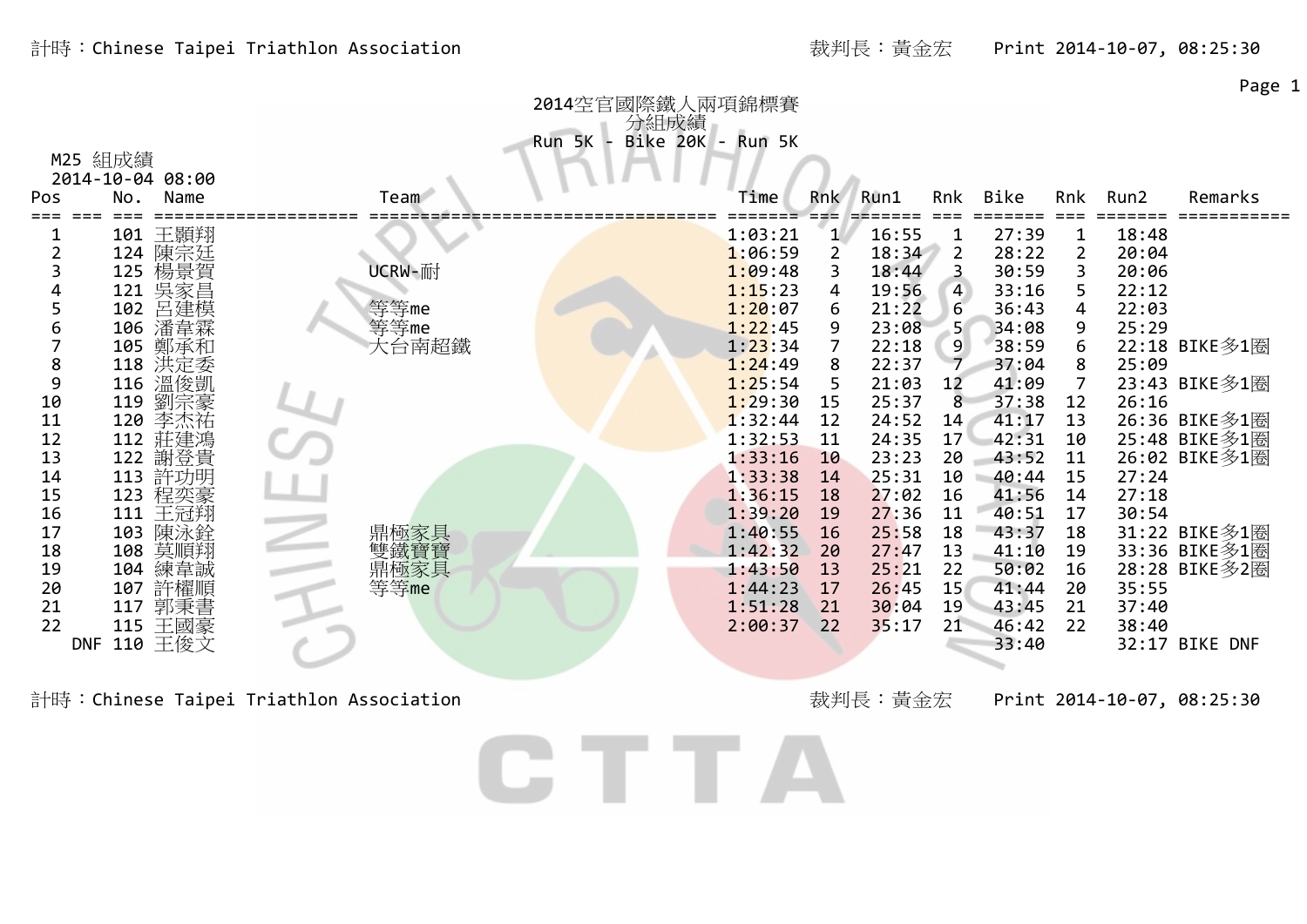Page 1

| 2014空官國際鐵人兩項錦標賽 |                                    |                |  |              |          |                           |                    |          |                |                     |                |                |                |                |  |
|-----------------|------------------------------------|----------------|--|--------------|----------|---------------------------|--------------------|----------|----------------|---------------------|----------------|----------------|----------------|----------------|--|
| Pos             | M25 組成績<br>2014-10-04 08:00<br>No. | Name           |  | Team         | Run 5K - | 分組成績<br>Bike 20K - Run 5K | Time               | Rnk l    | Run1           | Rnk                 | Bike           | Rnk            | Run2           | Remarks        |  |
|                 |                                    |                |  |              |          |                           |                    |          |                |                     |                |                |                |                |  |
| T               |                                    | 101 王顥翔        |  |              |          |                           | 1:03:21            |          | 16:55          | 1                   | 27:39          | 1              | 18:48          |                |  |
|                 | 124                                | 陳宗廷            |  |              |          |                           | 1:06:59            | 2        | 18:34          | $\overline{2}$      | 28:22          | 2              | 20:04          |                |  |
|                 |                                    | 125 楊景賀        |  | UCRW-耐       |          |                           | 1:09:48            |          | 18:44          | 3                   | 30:59          | 3              | 20:06          |                |  |
|                 |                                    |                |  |              |          |                           | 1:15:23<br>1:20:07 | 4        | 19:56          | $\overline{4}$<br>6 | 33:16<br>36:43 | 5<br>4         | 22:12<br>22:03 |                |  |
| 6               | 102                                | 呂建模<br>106 潘韋霖 |  | 等等me<br>等等me |          |                           | 1:22:45            | 6<br>9   | 21:22<br>23:08 |                     | 34:08          | 9              | 25:29          |                |  |
|                 | 105                                | 鄭承和            |  | 大台南超鐵        |          |                           | 1:23:34            |          | 22:18          | 9                   | 38:59          |                |                | 22:18 BIKE多1圈  |  |
| 8               |                                    | 118 洪定委        |  |              |          |                           | 1:24:49            | 8        | 22:37          | $\overline{7}$      | 37:04          | 8              | 25:09          |                |  |
| 9               |                                    | 116 溫俊凱        |  |              |          |                           | 1:25:54            | 5        | 21:03          | 12                  | 41:09          | $\overline{7}$ |                | 23:43 BIKE多1圈  |  |
| 10              | 119                                | 劉宗豪            |  |              |          |                           | 1:29:30            | 15       | 25:37          | 8                   | 37:38          | 12             | 26:16          |                |  |
| 11              | 120                                | 李杰祐            |  |              |          |                           | 1:32:44            | 12       | 24:52          | 14                  | 41:17          | 13             |                | 26:36 BIKE多1圈  |  |
| 12              |                                    | 112 莊建鴻        |  |              |          |                           | 1:32:53            | 11       | 24:35          | 17                  | 42:31          | 10             |                | 25:48 BIKE多1圈  |  |
| 13              | 122                                | 謝登貴            |  |              |          |                           | 1:33:16            | 10       | 23:23          | 20                  | 43:52          | 11             |                | 26:02 BIKE多1圈  |  |
| 14              |                                    | 113 許功明        |  |              |          |                           | 1:33:38            | 14       | 25:31          | 10                  | 40:44          | 15             | 27:24          |                |  |
| 15              |                                    | 123 程奕豪        |  |              |          |                           | 1:36:15            | 18       | 27:02          | 16                  | 41:56          | 14             | 27:18          |                |  |
| 16              | 111                                | 王冠翔            |  |              |          |                           | 1:39:20            | 19       | 27:36          | 11                  | 40:51          | 17             | 30:54          |                |  |
| 17              | 103                                | 陳泳銓            |  | 鼎極家具         |          |                           | 1:40:55            | 16       | 25:58          | 18                  | 43:37          | 18             |                | 31:22 BIKE多1圈  |  |
| 18              | 108                                | 莫順翔            |  | 雙鐵寶寶         |          |                           | 1:42:32            | 20       | 27:47          | 13                  | 41:10          | 19             |                | 33:36 BIKE多1圈  |  |
| 19              | 104                                | 練韋誠            |  | 鼎極家具<br>等等me |          |                           | 1:43:50<br>1:44:23 | 13       | 25:21          | 22<br>15            | 50:02<br>41:44 | 16<br>20       |                | 28:28 BIKE多2圈  |  |
| 20<br>21        | 107<br>117                         | 許櫂順<br>郭秉書     |  |              |          |                           | 1:51:28            | 17<br>21 | 26:45<br>30:04 | 19                  | 43:45          | 21             | 35:55<br>37:40 |                |  |
| 22              |                                    | 115 王國豪        |  |              |          |                           | 2:00:37            | 22       | 35:17          | 21                  | 46:42          | 22             | 38:40          |                |  |
|                 | <b>DNF</b>                         | 110 王俊文        |  |              |          |                           |                    |          |                |                     | 33:40          |                |                | 32:17 BIKE DNF |  |
|                 |                                    |                |  |              |          |                           |                    |          |                |                     |                |                |                |                |  |
|                 |                                    |                |  |              |          |                           |                    |          |                |                     |                |                |                |                |  |

計時:Chinese Taipei Triathlon Association **New York of the Chinese State of the Chinese Taipei Triathlon Association** 

CTTA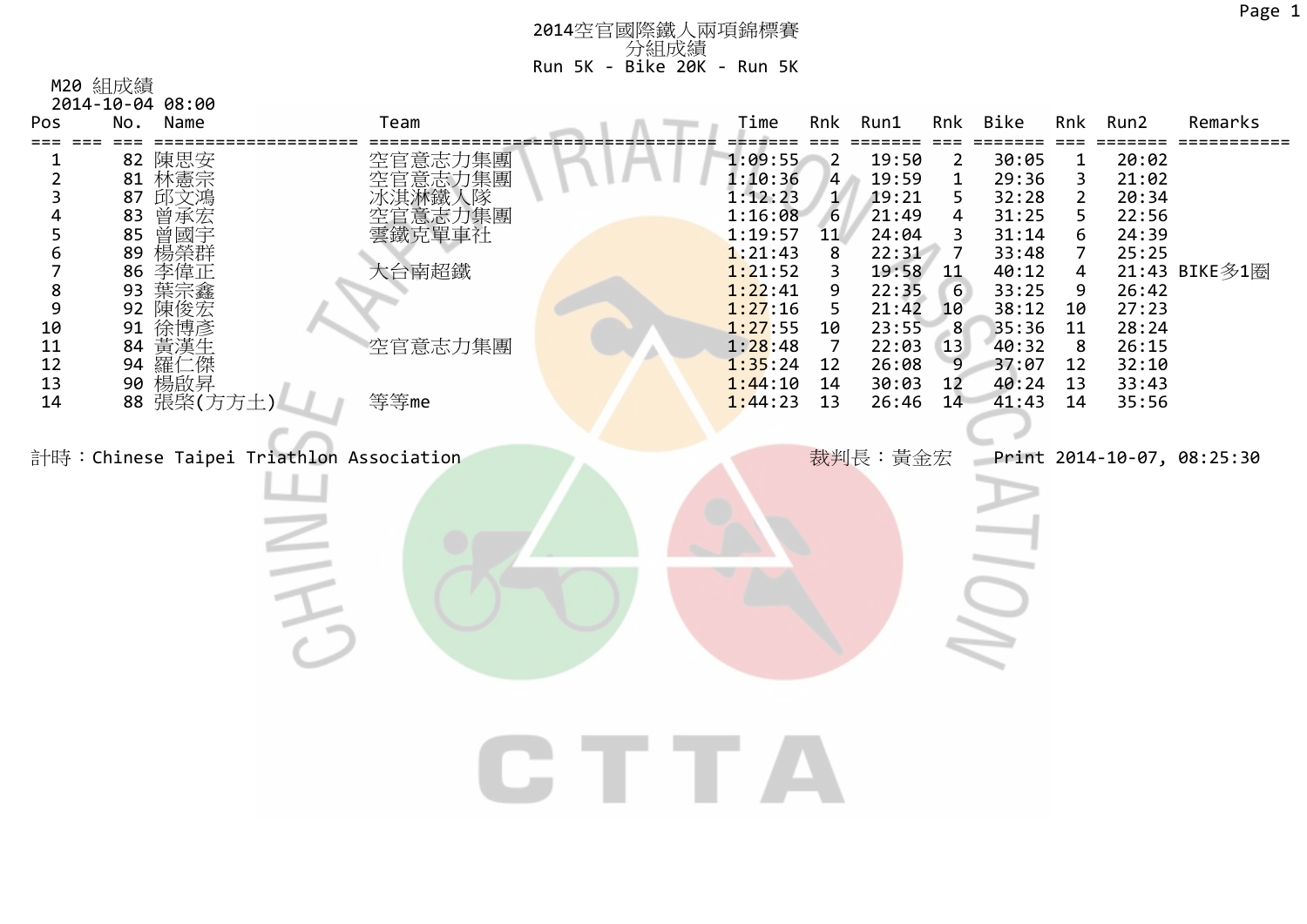| Pos                                                                                                                                                       | Name<br>No.                                                                                                                                                        | Team                                                                                                                       | Time                                                                                                                                                   | Rnk                                                                                                                                | Run1                                                                                                                                  | Rnk                                                                                             | Bike                                                                                                                       | Rnk                                                                                                         | Run2                                                                                                              | Remarks                                     |
|-----------------------------------------------------------------------------------------------------------------------------------------------------------|--------------------------------------------------------------------------------------------------------------------------------------------------------------------|----------------------------------------------------------------------------------------------------------------------------|--------------------------------------------------------------------------------------------------------------------------------------------------------|------------------------------------------------------------------------------------------------------------------------------------|---------------------------------------------------------------------------------------------------------------------------------------|-------------------------------------------------------------------------------------------------|----------------------------------------------------------------------------------------------------------------------------|-------------------------------------------------------------------------------------------------------------|-------------------------------------------------------------------------------------------------------------------|---------------------------------------------|
| $\overline{\mathbf{c}}$<br>3<br>6<br>$\overline{7}$<br>$\begin{array}{c} 8 \\ 9 \end{array}$<br>10<br>$\begin{array}{c} 11 \\ 12 \end{array}$<br>13<br>14 | 82 陳思安<br>81 林憲宗<br>邱文鴻<br>87<br>83<br>曾承宏<br>曾國宇<br>85<br>楊榮群<br>89<br>86<br>李偉正<br>93<br>92<br>陳俊宏<br>91<br>徐博彥<br>84<br>黃漢生<br>羅1<br>94<br>90 楊啟昇<br>88 張棨(方方土) | 空官意志力集團<br>空官意志力集團<br>冰淇淋鐵人隊<br>空官意志力集團<br>空當或克單車社<br>大台南超鐵<br>空官意志力集團<br>等等me<br>計時: Chinese Taipei Triathlon Association | 1:09:55<br>1:10:36<br>1:12:23<br>1:16:08<br>1:19:57<br>1:21:43<br>1:21:52<br>1:22:41<br>1:27:16<br>1:27:55<br>1:28:48<br>1:35:24<br>1:44:10<br>1:44:23 | $\blacksquare$ 2<br>$\overline{4}$<br>$\begin{array}{c} 1 \\ 6 \end{array}$<br>11<br>8<br>3<br>9<br>5<br>10<br>7<br>12<br>14<br>13 | 19:50<br>19:59<br>19:21<br>21:49<br>24:04<br>22:31<br>19:58<br>22:35<br>21:42<br>23:55<br>22:03<br>26:08<br>30:03<br>26:46<br>裁判長:黃金宏 | $\overline{2}$<br>$\mathbf 1$<br>5<br>4<br>3<br>7<br>11<br>6<br>10<br>-8<br>13<br>9<br>12<br>14 | 30:05<br>29:36<br>32:28<br>31:25<br>31:14<br>33:48<br>40:12<br>33:25<br>38:12<br>35:36<br>40:32<br>37:07<br>40:24<br>41:43 | $\mathbf 1$<br>3<br>$\overline{2}$<br>5<br>6<br>$\overline{7}$<br>4<br>9<br>10<br>11<br>8<br>12<br>13<br>14 | 20:02<br>21:02<br>20:34<br>22:56<br>24:39<br>25:25<br>26:42<br>27:23<br>28:24<br>26:15<br>32:10<br>33:43<br>35:56 | 21:43 BIKE多1圈<br>Print 2014-10-07, 08:25:30 |
|                                                                                                                                                           |                                                                                                                                                                    |                                                                                                                            |                                                                                                                                                        |                                                                                                                                    |                                                                                                                                       |                                                                                                 |                                                                                                                            |                                                                                                             |                                                                                                                   |                                             |
|                                                                                                                                                           |                                                                                                                                                                    |                                                                                                                            |                                                                                                                                                        |                                                                                                                                    |                                                                                                                                       |                                                                                                 |                                                                                                                            |                                                                                                             |                                                                                                                   |                                             |